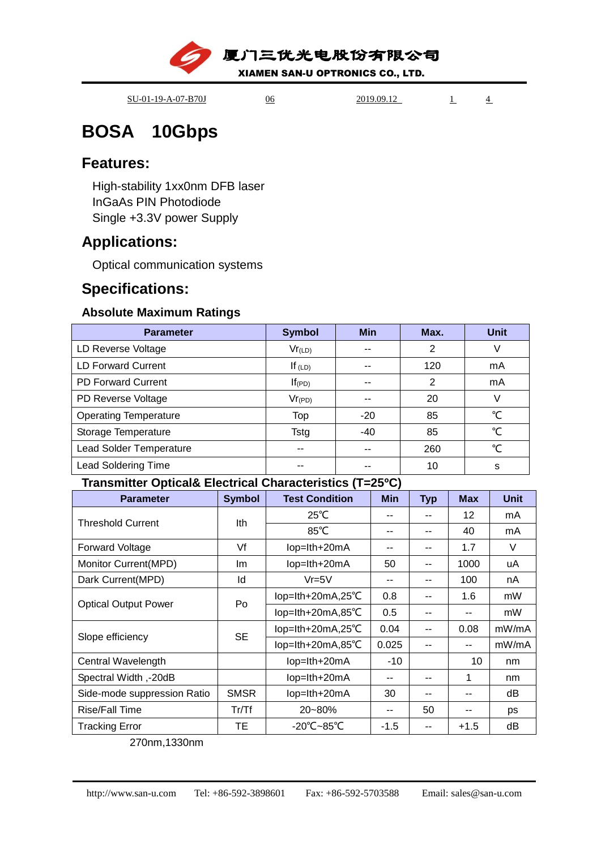厦门三优光电股份有限公司

XIAMEN SAN-U OPTRONICS CO., LTD.

SU-01-19-A-07-B70J 06 2019.09.12 1 4

# **BOSA 10Gbps**

### **Features:**

High-stability 1xx0nm DFB laser InGaAs PIN Photodiode Single +3.3V power Supply

# **Applications:**

Optical communication systems

# **Specifications:**

### **Absolute Maximum Ratings**

| <b>Parameter</b>             | <b>Symbol</b> | <b>Min</b> | Max. | <b>Unit</b> |
|------------------------------|---------------|------------|------|-------------|
| LD Reverse Voltage           | $Vr_{(LD)}$   | --         | 2    |             |
| <b>LD Forward Current</b>    | If $(LD)$     |            | 120  | mA          |
| <b>PD Forward Current</b>    | $If$ (PD)     |            | 2    | mA          |
| PD Reverse Voltage           | $Vr_{(PD)}$   |            | 20   |             |
| <b>Operating Temperature</b> | Top           | $-20$      | 85   | °C          |
| Storage Temperature          | Tstg          | $-40$      | 85   | ℃           |
| Lead Solder Temperature      | --            | --         | 260  | °C          |
| <b>Lead Soldering Time</b>   | --            |            | 10   | s           |

### **Transmitter Optical& Electrical Characteristics (T=25ºC)**

| <b>Parameter</b>            | <b>Symbol</b> | <b>Test Condition</b> | <b>Min</b> | <b>Typ</b> | <b>Max</b> | <b>Unit</b> |
|-----------------------------|---------------|-----------------------|------------|------------|------------|-------------|
| <b>Threshold Current</b>    | Ith           | $25^{\circ}$ C        |            |            | 12         | mA          |
|                             |               | $85^{\circ}$ C        | --         | --         | 40         | mA          |
| <b>Forward Voltage</b>      | Vf            | lop=lth+20mA          |            | --         | 1.7        | V           |
| Monitor Current(MPD)        | lm.           | lop=lth+20mA          | 50         | --         | 1000       | uA          |
| Dark Current(MPD)           | ld            | $Vr = 5V$             | --         | --         | 100        | nA          |
| <b>Optical Output Power</b> | Po            | lop=lth+20mA,25°C     | 0.8        | --         | 1.6        | mW          |
|                             |               | lop=lth+20mA,85°C     | 0.5        | --         | --         | mW          |
| Slope efficiency            | <b>SE</b>     | lop=lth+20mA,25°C     | 0.04       | --         | 0.08       | mW/mA       |
|                             |               | lop=lth+20mA,85°C     | 0.025      |            |            | mW/mA       |
| Central Wavelength          |               | lop=lth+20mA          | $-10$      |            | 10         | nm          |
| Spectral Width,-20dB        |               | lop=lth+20mA          |            |            | 1          | nm          |
| Side-mode suppression Ratio | <b>SMSR</b>   | lop=lth+20mA          | 30         | --         |            | dВ          |
| <b>Rise/Fall Time</b>       | Tr/Tf         | 20~80%                | --         | 50         |            | ps          |
| <b>Tracking Error</b>       | TЕ            | -20°C~85°C            | $-1.5$     | --         | $+1.5$     | dB          |

270nm,1330nm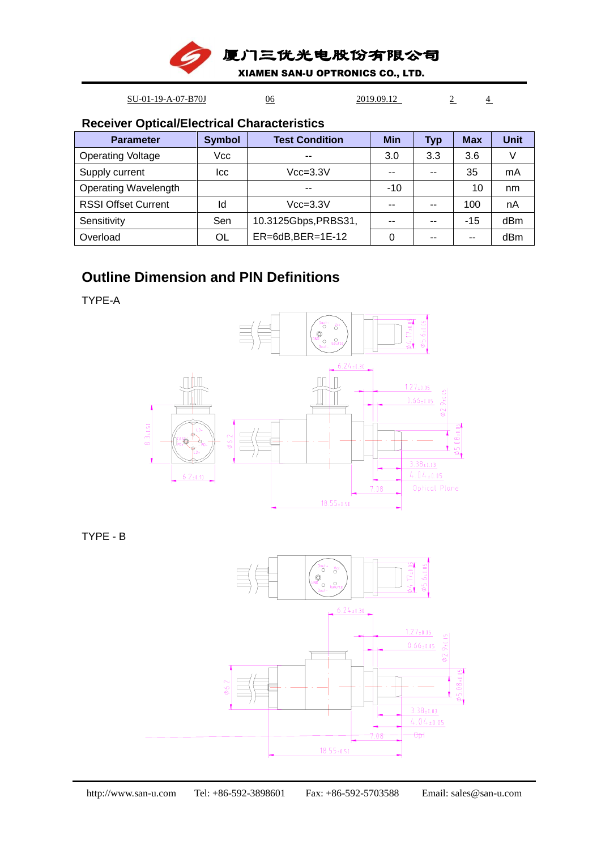厦门三优光电股份有限公司

XIAMEN SAN-U OPTRONICS CO., LTD.

SU-01-19-A-07-B70J 06 2019.09.12 2 4

**Receiver Optical/Electrical Characteristics**

| <b>Parameter</b>           | <b>Symbol</b> | <b>Test Condition</b>  | <b>Min</b> | <b>Typ</b> | <b>Max</b> | Unit |
|----------------------------|---------------|------------------------|------------|------------|------------|------|
| <b>Operating Voltage</b>   | Vcc           | $- -$                  | 3.0        | 3.3        | 3.6        |      |
| Supply current             | Icc           | $Vcc = 3.3V$           | $-$        | --         | 35         | mA   |
| Operating Wavelength       |               | --                     | $-10$      |            | 10         | nm   |
| <b>RSSI Offset Current</b> | ld            | $Vcc = 3.3V$           | --         | --         | 100        | nA   |
| Sensitivity                | Sen           | 10.3125Gbps, PRBS31,   | $-$        | --         | $-15$      | dBm  |
| Overload                   | OL            | $ER=6dB$ , $BER=1E-12$ |            |            | --         | dBm  |

### **Outline Dimension and PIN Definitions**

TYPE-A



TYPE - B

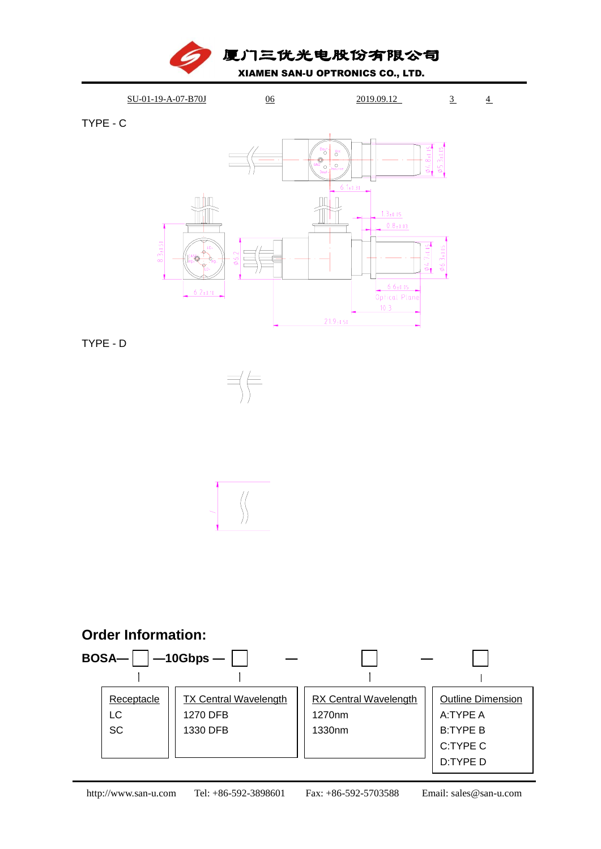



TYPE - C



TYPE - D





### **Order Information:**